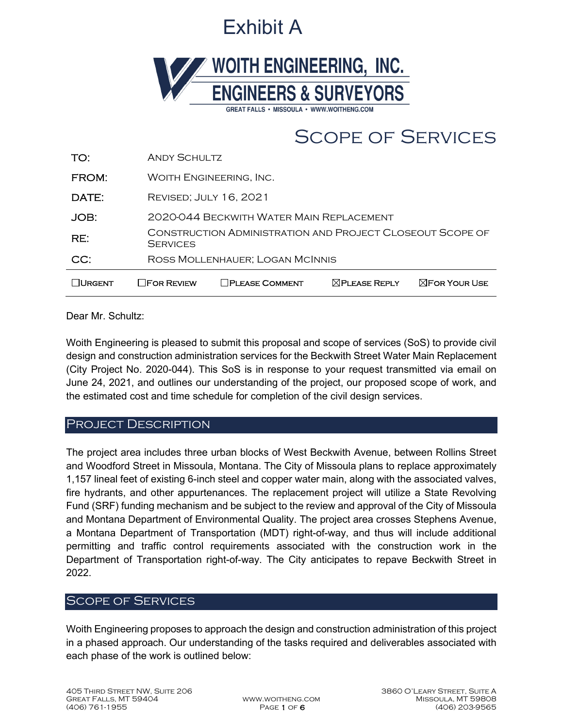# Exhibit A



## Scope of Services

| ∏URGENT | <b>TFOR REVIEW</b>                                                           | <b>PLEASE COMMENT</b>                    | $\boxtimes$ PLEASE REPLY | $\boxtimes$ For Your Use |  |  |
|---------|------------------------------------------------------------------------------|------------------------------------------|--------------------------|--------------------------|--|--|
| CC:     | ROSS MOLLENHAUER; LOGAN MCINNIS                                              |                                          |                          |                          |  |  |
| RE:     | CONSTRUCTION ADMINISTRATION AND PROJECT CLOSEOUT SCOPE OF<br><b>SERVICES</b> |                                          |                          |                          |  |  |
| JOB:    |                                                                              | 2020-044 BECKWITH WATER MAIN REPLACEMENT |                          |                          |  |  |
| DATE:   |                                                                              | <b>REVISED; JULY 16, 2021</b>            |                          |                          |  |  |
| FROM:   |                                                                              | WOITH ENGINEERING, INC.                  |                          |                          |  |  |
| TO:     | <b>ANDY SCHULTZ</b>                                                          |                                          |                          |                          |  |  |

Dear Mr. Schultz:

Woith Engineering is pleased to submit this proposal and scope of services (SoS) to provide civil design and construction administration services for the Beckwith Street Water Main Replacement (City Project No. 2020-044). This SoS is in response to your request transmitted via email on June 24, 2021, and outlines our understanding of the project, our proposed scope of work, and the estimated cost and time schedule for completion of the civil design services.

#### PROJECT DESCRIPTION

The project area includes three urban blocks of West Beckwith Avenue, between Rollins Street and Woodford Street in Missoula, Montana. The City of Missoula plans to replace approximately 1,157 lineal feet of existing 6-inch steel and copper water main, along with the associated valves, fire hydrants, and other appurtenances. The replacement project will utilize a State Revolving Fund (SRF) funding mechanism and be subject to the review and approval of the City of Missoula and Montana Department of Environmental Quality. The project area crosses Stephens Avenue, a Montana Department of Transportation (MDT) right-of-way, and thus will include additional permitting and traffic control requirements associated with the construction work in the Department of Transportation right-of-way. The City anticipates to repave Beckwith Street in 2022.

### Scope of Services

Woith Engineering proposes to approach the design and construction administration of this project in a phased approach. Our understanding of the tasks required and deliverables associated with each phase of the work is outlined below: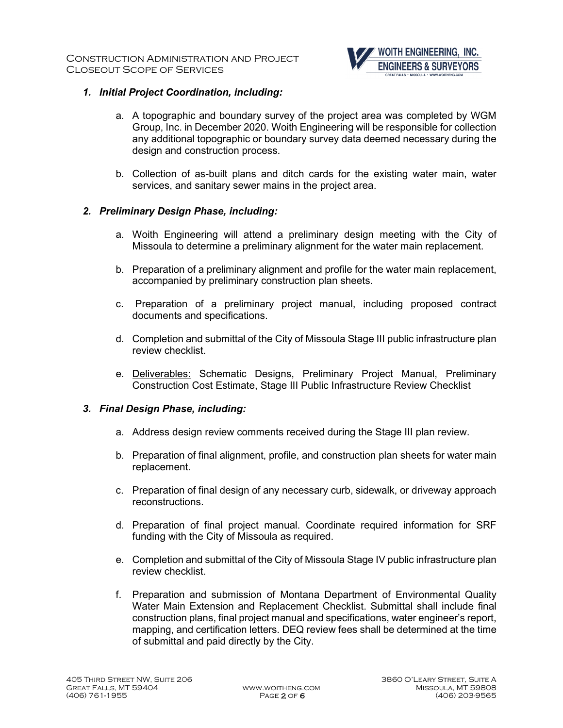

#### *1. Initial Project Coordination, including:*

- a. A topographic and boundary survey of the project area was completed by WGM Group, Inc. in December 2020. Woith Engineering will be responsible for collection any additional topographic or boundary survey data deemed necessary during the design and construction process.
- b. Collection of as-built plans and ditch cards for the existing water main, water services, and sanitary sewer mains in the project area.

#### *2. Preliminary Design Phase, including:*

- a. Woith Engineering will attend a preliminary design meeting with the City of Missoula to determine a preliminary alignment for the water main replacement.
- b. Preparation of a preliminary alignment and profile for the water main replacement, accompanied by preliminary construction plan sheets.
- c. Preparation of a preliminary project manual, including proposed contract documents and specifications.
- d. Completion and submittal of the City of Missoula Stage III public infrastructure plan review checklist.
- e. Deliverables: Schematic Designs, Preliminary Project Manual, Preliminary Construction Cost Estimate, Stage III Public Infrastructure Review Checklist

#### *3. Final Design Phase, including:*

- a. Address design review comments received during the Stage III plan review.
- b. Preparation of final alignment, profile, and construction plan sheets for water main replacement.
- c. Preparation of final design of any necessary curb, sidewalk, or driveway approach reconstructions.
- d. Preparation of final project manual. Coordinate required information for SRF funding with the City of Missoula as required.
- e. Completion and submittal of the City of Missoula Stage IV public infrastructure plan review checklist.
- f. Preparation and submission of Montana Department of Environmental Quality Water Main Extension and Replacement Checklist. Submittal shall include final construction plans, final project manual and specifications, water engineer's report, mapping, and certification letters. DEQ review fees shall be determined at the time of submittal and paid directly by the City.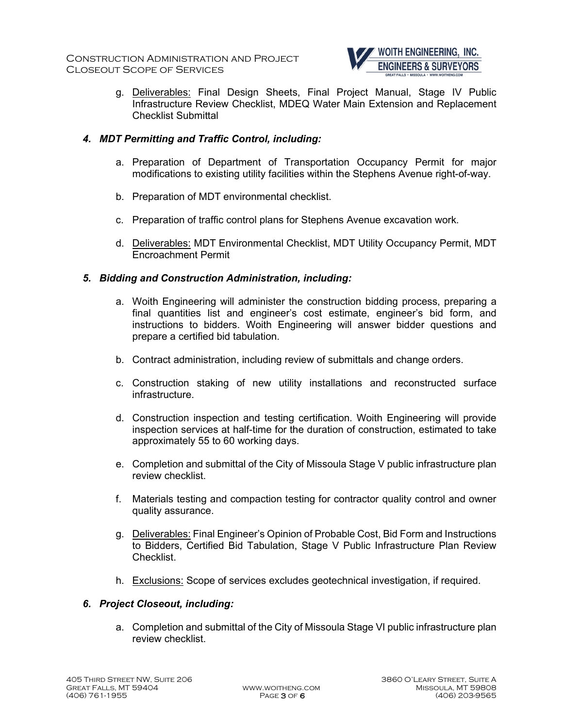

g. Deliverables: Final Design Sheets, Final Project Manual, Stage IV Public Infrastructure Review Checklist, MDEQ Water Main Extension and Replacement Checklist Submittal

#### *4. MDT Permitting and Traffic Control, including:*

- a. Preparation of Department of Transportation Occupancy Permit for major modifications to existing utility facilities within the Stephens Avenue right-of-way.
- b. Preparation of MDT environmental checklist.
- c. Preparation of traffic control plans for Stephens Avenue excavation work.
- d. Deliverables: MDT Environmental Checklist, MDT Utility Occupancy Permit, MDT Encroachment Permit

#### *5. Bidding and Construction Administration, including:*

- a. Woith Engineering will administer the construction bidding process, preparing a final quantities list and engineer's cost estimate, engineer's bid form, and instructions to bidders. Woith Engineering will answer bidder questions and prepare a certified bid tabulation.
- b. Contract administration, including review of submittals and change orders.
- c. Construction staking of new utility installations and reconstructed surface infrastructure.
- d. Construction inspection and testing certification. Woith Engineering will provide inspection services at half-time for the duration of construction, estimated to take approximately 55 to 60 working days.
- e. Completion and submittal of the City of Missoula Stage V public infrastructure plan review checklist.
- f. Materials testing and compaction testing for contractor quality control and owner quality assurance.
- g. Deliverables: Final Engineer's Opinion of Probable Cost, Bid Form and Instructions to Bidders, Certified Bid Tabulation, Stage V Public Infrastructure Plan Review Checklist.
- h. Exclusions: Scope of services excludes geotechnical investigation, if required.

#### *6. Project Closeout, including:*

a. Completion and submittal of the City of Missoula Stage VI public infrastructure plan review checklist.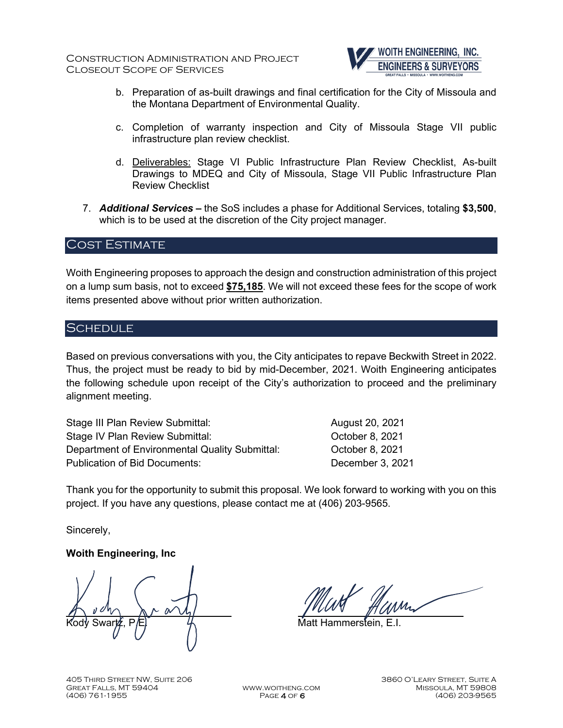

- b. Preparation of as-built drawings and final certification for the City of Missoula and the Montana Department of Environmental Quality.
- c. Completion of warranty inspection and City of Missoula Stage VII public infrastructure plan review checklist.
- d. Deliverables: Stage VI Public Infrastructure Plan Review Checklist, As-built Drawings to MDEQ and City of Missoula, Stage VII Public Infrastructure Plan Review Checklist
- 7. *Additional Services –* the SoS includes a phase for Additional Services, totaling **\$3,500**, which is to be used at the discretion of the City project manager.

#### Cost Estimate

Woith Engineering proposes to approach the design and construction administration of this project on a lump sum basis, not to exceed **\$75,185**. We will not exceed these fees for the scope of work items presented above without prior written authorization.

#### **SCHEDULE**

Based on previous conversations with you, the City anticipates to repave Beckwith Street in 2022. Thus, the project must be ready to bid by mid-December, 2021. Woith Engineering anticipates the following schedule upon receipt of the City's authorization to proceed and the preliminary alignment meeting.

Stage III Plan Review Submittal: August 20, 2021 Stage IV Plan Review Submittal: Case Correct Correct Correct October 8, 2021 Department of Environmental Quality Submittal: October 8, 2021 Publication of Bid Documents: December 3, 2021

Thank you for the opportunity to submit this proposal. We look forward to working with you on this project. If you have any questions, please contact me at (406) 203-9565.

Sincerely,

#### **Woith Engineering, Inc**

J Kody Swartz, P/El

 $\overline{a}$ 

Matt Hammerstein, E.I.

405 Third Street NW, Suite 206 3860 O'Leary Street, Suite A GREAT FALLS, MT 59404 WWW.WOITHENG.COM (406) 761-1955 Page 4 of 6 (406) 203-9565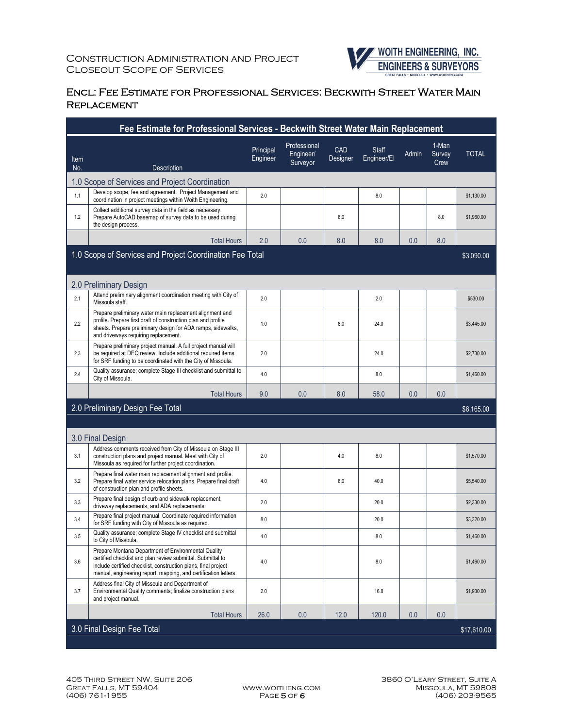

#### Encl: Fee Estimate for Professional Services: Beckwith Street Water Main **REPLACEMENT**

| Fee Estimate for Professional Services - Beckwith Street Water Main Replacement |                                                                                                                                                                                                                                                         |                       |                                       |                 |                             |            |                         |              |
|---------------------------------------------------------------------------------|---------------------------------------------------------------------------------------------------------------------------------------------------------------------------------------------------------------------------------------------------------|-----------------------|---------------------------------------|-----------------|-----------------------------|------------|-------------------------|--------------|
| Item<br>No.                                                                     | Description                                                                                                                                                                                                                                             | Principal<br>Engineer | Professional<br>Engineer/<br>Surveyor | CAD<br>Designer | <b>Staff</b><br>Engineer/El | Admin      | 1-Man<br>Survey<br>Crew | <b>TOTAL</b> |
|                                                                                 | 1.0 Scope of Services and Project Coordination                                                                                                                                                                                                          |                       |                                       |                 |                             |            |                         |              |
| 1.1                                                                             | Develop scope, fee and agreement. Project Management and<br>coordination in project meetings within Woith Engineering.                                                                                                                                  | 2.0                   |                                       |                 | 8.0                         |            |                         | \$1,130.00   |
| 1.2                                                                             | Collect additional survey data in the field as necessary.<br>Prepare AutoCAD basemap of survey data to be used during<br>the design process.                                                                                                            |                       |                                       | 8.0             |                             |            | 8.0                     | \$1,960.00   |
|                                                                                 | <b>Total Hours</b>                                                                                                                                                                                                                                      | 2.0                   | 0.0                                   | 8.0             | 8.0                         | 0.0        | 8.0                     |              |
|                                                                                 | 1.0 Scope of Services and Project Coordination Fee Total                                                                                                                                                                                                |                       |                                       |                 |                             |            |                         | \$3,090.00   |
|                                                                                 | 2.0 Preliminary Design                                                                                                                                                                                                                                  |                       |                                       |                 |                             |            |                         |              |
| 2.1                                                                             | Attend preliminary alignment coordination meeting with City of<br>Missoula staff.                                                                                                                                                                       | 2.0                   |                                       |                 | 2.0                         |            |                         | \$530.00     |
| 2.2                                                                             | Prepare preliminary water main replacement alignment and<br>profile. Prepare first draft of construction plan and profile<br>sheets. Prepare preliminary design for ADA ramps, sidewalks,<br>and driveways requiring replacement.                       | 1.0                   |                                       | 8.0             | 24.0                        |            |                         | \$3,445.00   |
| 2.3                                                                             | Prepare preliminary project manual. A full project manual will<br>be required at DEQ review. Include additional required items<br>for SRF funding to be coordinated with the City of Missoula.                                                          | 2.0                   |                                       |                 | 24.0                        |            |                         | \$2,730.00   |
| 2.4                                                                             | Quality assurance; complete Stage III checklist and submittal to<br>City of Missoula.                                                                                                                                                                   | 4.0                   |                                       |                 | 8.0                         |            |                         | \$1,460.00   |
|                                                                                 | <b>Total Hours</b>                                                                                                                                                                                                                                      | 9.0                   | 0.0                                   | 8.0             | 58.0                        | 0.0        | 0.0                     |              |
| 2.0 Preliminary Design Fee Total                                                |                                                                                                                                                                                                                                                         |                       |                                       |                 |                             | \$8,165.00 |                         |              |
|                                                                                 | 3.0 Final Design                                                                                                                                                                                                                                        |                       |                                       |                 |                             |            |                         |              |
| 3.1                                                                             | Address comments received from City of Missoula on Stage III<br>construction plans and project manual. Meet with City of<br>Missoula as required for further project coordination.                                                                      | 2.0                   |                                       | 4.0             | 8.0                         |            |                         | \$1,570.00   |
| 3.2                                                                             | Prepare final water main replacement alignment and profile.<br>Prepare final water service relocation plans. Prepare final draft<br>of construction plan and profile sheets.                                                                            | 4.0                   |                                       | 8.0             | 40.0                        |            |                         | \$5,540.00   |
| 3.3                                                                             | Prepare final design of curb and sidewalk replacement,<br>driveway replacements, and ADA replacements.                                                                                                                                                  | 2.0                   |                                       |                 | 20.0                        |            |                         | \$2,330.00   |
| 3.4                                                                             | Prepare final project manual. Coordinate required information<br>for SRF funding with City of Missoula as required.                                                                                                                                     | 8.0                   |                                       |                 | 20.0                        |            |                         | \$3,320.00   |
| 3.5                                                                             | Quality assurance; complete Stage IV checklist and submittal<br>to City of Missoula.                                                                                                                                                                    | 4.0                   |                                       |                 | 8.0                         |            |                         | \$1,460.00   |
| 3.6                                                                             | Prepare Montana Department of Environmental Quality<br>certified checklist and plan review submittal. Submittal to<br>include certified checklist, construction plans, final project<br>manual, engineering report, mapping, and certification letters. | $4.0$                 |                                       |                 | 8.0                         |            |                         | \$1,460.00   |
| 3.7                                                                             | Address final City of Missoula and Department of<br>Environmental Quality comments; finalize construction plans<br>and project manual.                                                                                                                  | 2.0                   |                                       |                 | 16.0                        |            |                         | \$1,930.00   |
|                                                                                 | <b>Total Hours</b>                                                                                                                                                                                                                                      | 26.0                  | 0.0                                   | 12.0            | 120.0                       | 0.0        | 0.0                     |              |
| 3.0 Final Design Fee Total<br>\$17,610.00                                       |                                                                                                                                                                                                                                                         |                       |                                       |                 |                             |            |                         |              |
|                                                                                 |                                                                                                                                                                                                                                                         |                       |                                       |                 |                             |            |                         |              |